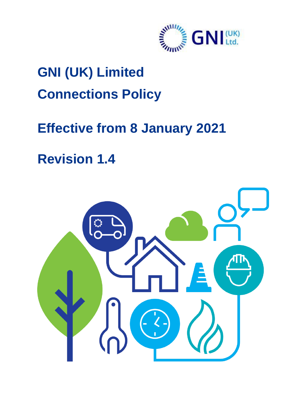

# **GNI (UK) Limited Connections Policy**

## **Effective from 8 January 2021**

**Revision 1.4**

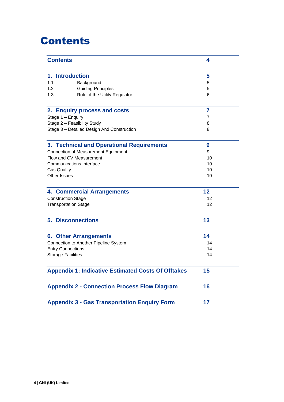### <span id="page-1-0"></span>Contents

| <b>Contents</b>                                           | 4  |
|-----------------------------------------------------------|----|
| 1. Introduction                                           | 5  |
| 1.1<br>Background                                         | 5  |
| 1.2 <sub>2</sub><br><b>Guiding Principles</b>             | 5  |
| 1.3<br>Role of the Utility Regulator                      | 6  |
| 2. Enquiry process and costs                              | 7  |
| Stage 1 - Enquiry                                         | 7  |
| Stage 2 - Feasibility Study                               | 8  |
| Stage 3 - Detailed Design And Construction                | 8  |
| 3. Technical and Operational Requirements                 | 9  |
| <b>Connection of Measurement Equipment</b>                | 9  |
| Flow and CV Measurement                                   | 10 |
| <b>Communications Interface</b>                           | 10 |
| <b>Gas Quality</b>                                        | 10 |
| Other Issues                                              | 10 |
| <b>4. Commercial Arrangements</b>                         | 12 |
| <b>Construction Stage</b>                                 | 12 |
| <b>Transportation Stage</b>                               | 12 |
| <b>5. Disconnections</b>                                  | 13 |
| <b>6. Other Arrangements</b>                              | 14 |
| Connection to Another Pipeline System                     | 14 |
| <b>Entry Connections</b>                                  | 14 |
| <b>Storage Facilities</b>                                 | 14 |
| <b>Appendix 1: Indicative Estimated Costs Of Offtakes</b> | 15 |
| <b>Appendix 2 - Connection Process Flow Diagram</b>       | 16 |
| <b>Appendix 3 - Gas Transportation Enquiry Form</b>       | 17 |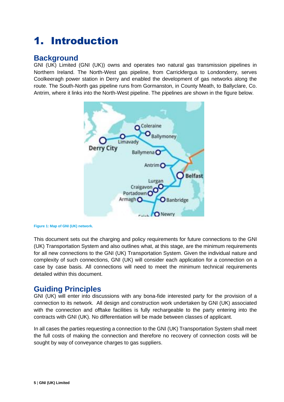### <span id="page-2-0"></span>1. Introduction

#### <span id="page-2-1"></span>**Background**

GNI (UK) Limited (GNI (UK)) owns and operates two natural gas transmission pipelines in Northern Ireland. The North-West gas pipeline, from Carrickfergus to Londonderry, serves Coolkeeragh power station in Derry and enabled the development of gas networks along the route. The South-North gas pipeline runs from Gormanston, in County Meath, to Ballyclare, Co. Antrim, where it links into the North-West pipeline. The pipelines are shown in the figure below.



**Figure 1: Map of GNI (UK) network.**

This document sets out the charging and policy requirements for future connections to the GNI (UK) Transportation System and also outlines what, at this stage, are the minimum requirements for all new connections to the GNI (UK) Transportation System. Given the individual nature and complexity of such connections, GNI (UK) will consider each application for a connection on a case by case basis. All connections will need to meet the minimum technical requirements detailed within this document.

#### <span id="page-2-2"></span>**Guiding Principles**

GNI (UK) will enter into discussions with any bona-fide interested party for the provision of a connection to its network. All design and construction work undertaken by GNI (UK) associated with the connection and offtake facilities is fully rechargeable to the party entering into the contracts with GNI (UK). No differentiation will be made between classes of applicant.

In all cases the parties requesting a connection to the GNI (UK) Transportation System shall meet the full costs of making the connection and therefore no recovery of connection costs will be sought by way of conveyance charges to gas suppliers.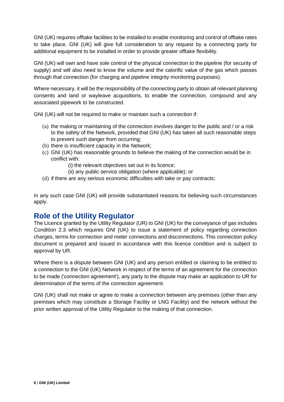GNI (UK) requires offtake facilities to be installed to enable monitoring and control of offtake rates to take place. GNI (UK) will give full consideration to any request by a connecting party for additional equipment to be installed in order to provide greater offtake flexibility.

GNI (UK) will own and have sole control of the physical connection to the pipeline (for security of supply) and will also need to know the volume and the calorific value of the gas which passes through that connection (for charging and pipeline integrity monitoring purposes).

Where necessary, it will be the responsibility of the connecting party to obtain all relevant planning consents and land or wayleave acquisitions, to enable the connection, compound and any associated pipework to be constructed.

GNI (UK) will not be required to make or maintain such a connection if:

- (a) the making or maintaining of the connection involves danger to the public and / or a risk to the safety of the Network, provided that GNI (UK) has taken all such reasonable steps to prevent such danger from occurring;
- (b) there is insufficient capacity in the Network;
- (c) GNI (UK) has reasonable grounds to believe the making of the connection would be in conflict with:
	- (i) the relevant objectives set out in its licence;
	- (ii) any public service obligation (where applicable); or
- (d) if there are any serious economic difficulties with take or pay contracts;

In any such case GNI (UK) will provide substantiated reasons for believing such circumstances apply.

#### <span id="page-3-0"></span>**Role of the Utility Regulator**

The Licence granted by the Utility Regulator (UR) to GNI (UK) for the conveyance of gas includes Condition 2.3 which requires GNI (UK) to issue a statement of policy regarding connection charges, terms for connection and meter connections and disconnections. This connection policy document is prepared and issued in accordance with this licence condition and is subject to approval by UR.

Where there is a dispute between GNI (UK) and any person entitled or claiming to be entitled to a connection to the GNI (UK) Network in respect of the terms of an agreement for the connection to be made ('connection agreement'), any party to the dispute may make an application to UR for determination of the terms of the connection agreement.

GNI (UK) shall not make or agree to make a connection between any premises (other than any premises which may constitute a Storage Facility or LNG Facility) and the network without the prior written approval of the Utility Regulator to the making of that connection.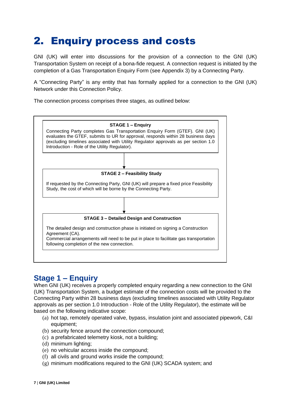### <span id="page-4-0"></span>2. Enquiry process and costs

GNI (UK) will enter into discussions for the provision of a connection to the GNI (UK) Transportation System on receipt of a bona-fide request. A connection request is initiated by the completion of a Gas Transportation Enquiry Form (see Appendix 3) by a Connecting Party.

A "Connecting Party" is any entity that has formally applied for a connection to the GNI (UK) Network under this Connection Policy.

The connection process comprises three stages, as outlined below:



#### <span id="page-4-1"></span>**Stage 1 – Enquiry**

When GNI (UK) receives a properly completed enquiry regarding a new connection to the GNI (UK) Transportation System, a budget estimate of the connection costs will be provided to the Connecting Party within 28 business days (excluding timelines associated with Utility Regulator approvals as per section 1.0 Introduction - Role of the Utility Regulator), the estimate will be based on the following indicative scope:

- (a) hot tap, remotely operated valve, bypass, insulation joint and associated pipework, C&I equipment;
- (b) security fence around the connection compound;
- (c) a prefabricated telemetry kiosk, not a building;
- (d) minimum lighting;
- (e) no vehicular access inside the compound;
- (f) all civils and ground works inside the compound;
- (g) minimum modifications required to the GNI (UK) SCADA system; and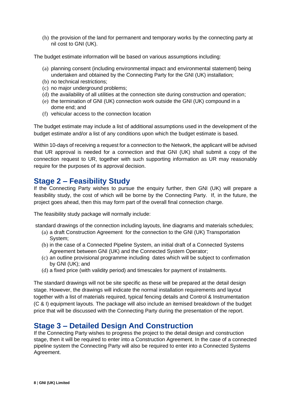(h) the provision of the land for permanent and temporary works by the connecting party at nil cost to GNI (UK).

The budget estimate information will be based on various assumptions including:

- (a) planning consent (including environmental impact and environmental statement) being undertaken and obtained by the Connecting Party for the GNI (UK) installation;
- (b) no technical restrictions;
- (c) no major underground problems;
- (d) the availability of all utilities at the connection site during construction and operation;
- (e) the termination of GNI (UK) connection work outside the GNI (UK) compound in a dome end; and
- (f) vehicular access to the connection location

The budget estimate may include a list of additional assumptions used in the development of the budget estimate and/or a list of any conditions upon which the budget estimate is based.

Within 10-days of receiving a request for a connection to the Network, the applicant will be advised that UR approval is needed for a connection and that GNI (UK) shall submit a copy of the connection request to UR, together with such supporting information as UR may reasonably require for the purposes of its approval decision.

#### <span id="page-5-0"></span>**Stage 2 – Feasibility Study**

If the Connecting Party wishes to pursue the enquiry further, then GNI (UK) will prepare a feasibility study, the cost of which will be borne by the Connecting Party. If, in the future, the project goes ahead, then this may form part of the overall final connection charge.

The feasibility study package will normally include:

standard drawings of the connection including layouts, line diagrams and materials schedules;

- (a) a draft Construction Agreement for the connection to the GNI (UK) Transportation System;
- (b) in the case of a Connected Pipeline System, an initial draft of a Connected Systems Agreement between GNI (UK) and the Connected System Operator;
- (c) an outline provisional programme including dates which will be subject to confirmation by GNI (UK); and
- (d) a fixed price (with validity period) and timescales for payment of instalments.

The standard drawings will not be site specific as these will be prepared at the detail design stage. However, the drawings will indicate the normal installation requirements and layout together with a list of materials required, typical fencing details and Control & Instrumentation (C & I) equipment layouts. The package will also include an itemised breakdown of the budget price that will be discussed with the Connecting Party during the presentation of the report.

#### <span id="page-5-1"></span>**Stage 3 – Detailed Design And Construction**

If the Connecting Party wishes to progress the project to the detail design and construction stage, then it will be required to enter into a Construction Agreement. In the case of a connected pipeline system the Connecting Party will also be required to enter into a Connected Systems Agreement.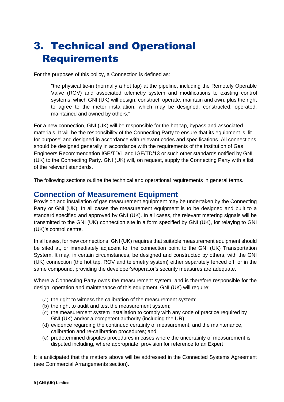### <span id="page-6-0"></span>3. Technical and Operational **Requirements**

For the purposes of this policy, a Connection is defined as:

"the physical tie-in (normally a hot tap) at the pipeline, including the Remotely Operable Valve (ROV) and associated telemetry system and modifications to existing control systems, which GNI (UK) will design, construct, operate, maintain and own, plus the right to agree to the meter installation, which may be designed, constructed, operated, maintained and owned by others."

For a new connection, GNI (UK) will be responsible for the hot tap, bypass and associated materials. It will be the responsibility of the Connecting Party to ensure that its equipment is 'fit for purpose' and designed in accordance with relevant codes and specifications. All connections should be designed generally in accordance with the requirements of the Institution of Gas Engineers Recommendation IGE/TD/1 and IGE/TD/13 or such other standards notified by GNI (UK) to the Connecting Party. GNI (UK) will, on request, supply the Connecting Party with a list of the relevant standards.

<span id="page-6-1"></span>The following sections outline the technical and operational requirements in general terms.

#### **Connection of Measurement Equipment**

Provision and installation of gas measurement equipment may be undertaken by the Connecting Party or GNI (UK). In all cases the measurement equipment is to be designed and built to a standard specified and approved by GNI (UK). In all cases, the relevant metering signals will be transmitted to the GNI (UK) connection site in a form specified by GNI (UK), for relaying to GNI (UK)'s control centre.

In all cases, for new connections, GNI (UK) requires that suitable measurement equipment should be sited at, or immediately adjacent to, the connection point to the GNI (UK) Transportation System. It may, in certain circumstances, be designed and constructed by others, with the GNI (UK) connection (the hot tap, ROV and telemetry system) either separately fenced off, or in the same compound, providing the developer's/operator's security measures are adequate.

Where a Connecting Party owns the measurement system, and is therefore responsible for the design, operation and maintenance of this equipment, GNI (UK) will require:

- (a) the right to witness the calibration of the measurement system;
- (b) the right to audit and test the measurement system;
- (c) the measurement system installation to comply with any code of practice required by GNI (UK) and/or a competent authority (including the UR);
- (d) evidence regarding the continued certainty of measurement, and the maintenance, calibration and re-calibration procedures; and
- (e) predetermined disputes procedures in cases where the uncertainty of measurement is disputed including, where appropriate, provision for reference to an Expert

It is anticipated that the matters above will be addressed in the Connected Systems Agreement (see Commercial Arrangements section).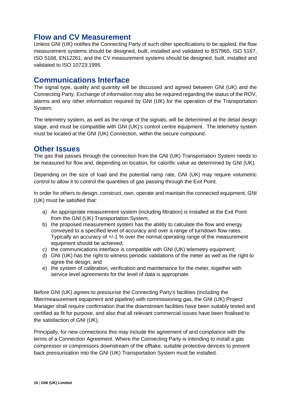#### <span id="page-7-0"></span>**Flow and CV Measurement**

Unless GNI (UK) notifies the Connecting Party of such other specifications to be applied, the flow measurement systems should be designed, built, installed and validated to BS7965, ISO 5167, ISO 5168, EN12261; and the CV measurement systems should be designed, built, installed and validated to ISO 10723:1995.

#### <span id="page-7-1"></span>**Communications Interface**

The signal type, quality and quantity will be discussed and agreed between GNI (UK) and the Connecting Party. Exchange of information may also be required regarding the status of the ROV, alarms and any other information required by GNI (UK) for the operation of the Transportation System.

<span id="page-7-2"></span>The telemetry system, as well as the range of the signals, will be determined at the detail design stage, and must be compatible with GNI (UK)'s control centre equipment. The telemetry system must be located at the GNI (UK) Connection, within the secure compound.

#### <span id="page-7-3"></span>**Other Issues**

The gas that passes through the connection from the GNI (UK) Transportation System needs to be measured for flow and, depending on location, for calorific value as determined by GNI (UK).

Depending on the size of load and the potential ramp rate, GNI (UK) may require volumetric control to allow it to control the quantities of gas passing through the Exit Point.

In order for others to design, construct, own, operate and maintain the connected equipment, GNI (UK) must be satisfied that:

- a) An appropriate measurement system (including filtration) is installed at the Exit Point from the GNI (UK) Transportation System;
- b) the proposed measurement system has the ability to calculate the flow and energy conveyed to a specified level of accuracy and over a range of turndown flow rates. Typically an accuracy of +/-1 % over the normal operating range of the measurement equipment should be achieved;
- c) the communications interface is compatible with GNI (UK) telemetry equipment;
- d) GNI (UK) has the right to witness periodic validations of the meter as well as the right to agree the design; and
- e) the system of calibration, verification and maintenance for the meter, together with service level agreements for the level of data is appropriate.

Before GNI (UK) agrees to pressurise the Connecting Party's facilities (including the filter/measurement equipment and pipeline) with commissioning gas, the GNI (UK) Project Manager shall require confirmation that the downstream facilities have been suitably tested and certified as fit for purpose, and also that all relevant commercial issues have been finalised to the satisfaction of GNI (UK).

Principally, for new connections this may include the agreement of and compliance with the terms of a Connection Agreement. Where the Connecting Party is intending to install a gas compressor or compressors downstream of the offtake, suitable protective devices to prevent back pressurisation into the GNI (UK) Transportation System must be installed.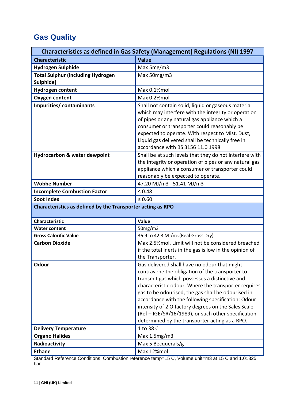#### **Gas Quality**

| <b>Characteristics as defined in Gas Safety (Management) Regulations (NI) 1997</b> |                                                                                                                                                                                                                                                                                                                                                          |  |
|------------------------------------------------------------------------------------|----------------------------------------------------------------------------------------------------------------------------------------------------------------------------------------------------------------------------------------------------------------------------------------------------------------------------------------------------------|--|
| <b>Characteristic</b>                                                              | <b>Value</b>                                                                                                                                                                                                                                                                                                                                             |  |
| <b>Hydrogen Sulphide</b>                                                           | Max 5mg/m3                                                                                                                                                                                                                                                                                                                                               |  |
| <b>Total Sulphur (including Hydrogen</b><br>Sulphide)                              | Max 50mg/m3                                                                                                                                                                                                                                                                                                                                              |  |
| <b>Hydrogen content</b>                                                            | Max 0.1%mol                                                                                                                                                                                                                                                                                                                                              |  |
| <b>Oxygen content</b>                                                              | Max 0.2%mol                                                                                                                                                                                                                                                                                                                                              |  |
| Impurities/ contaminants                                                           | Shall not contain solid, liquid or gaseous material<br>which may interfere with the integrity or operation<br>of pipes or any natural gas appliance which a<br>consumer or transporter could reasonably be<br>expected to operate. With respect to Mist, Dust,<br>Liquid gas delivered shall be technically free in<br>accordance with BS 3156 11.0 1998 |  |
| Hydrocarbon & water dewpoint                                                       | Shall be at such levels that they do not interfere with<br>the integrity or operation of pipes or any natural gas<br>appliance which a consumer or transporter could<br>reasonably be expected to operate.                                                                                                                                               |  |
| <b>Wobbe Number</b>                                                                | 47.20 MJ/m3 - 51.41 MJ/m3                                                                                                                                                                                                                                                                                                                                |  |
| <b>Incomplete Combustion Factor</b>                                                | $\leq 0.48$                                                                                                                                                                                                                                                                                                                                              |  |
| <b>Soot Index</b>                                                                  | $\leq 0.60$                                                                                                                                                                                                                                                                                                                                              |  |
| Characteristics as defined by the Transporter acting as RPO                        |                                                                                                                                                                                                                                                                                                                                                          |  |
| <b>Characteristic</b>                                                              | Value                                                                                                                                                                                                                                                                                                                                                    |  |
| <b>Water content</b>                                                               | 50mg/m3                                                                                                                                                                                                                                                                                                                                                  |  |
| <b>Gross Calorific Value</b>                                                       | 36.9 to 42.3 MJ/m <sub>3</sub> (Real Gross Dry)                                                                                                                                                                                                                                                                                                          |  |
| <b>Carbon Dioxide</b>                                                              | Max 2.5%mol. Limit will not be considered breached<br>if the total inerts in the gas is low in the opinion of<br>the Transporter.                                                                                                                                                                                                                        |  |
| <b>Odour</b>                                                                       | Gas delivered shall have no odour that might<br>contravene the obligation of the transporter to<br>transmit gas which possesses a distinctive and                                                                                                                                                                                                        |  |
|                                                                                    | characteristic odour. Where the transporter requires<br>gas to be odourised, the gas shall be odourised in<br>accordance with the following specification: Odour<br>intensity of 2 Olfactory degrees on the Sales Scale<br>(Ref - IGE/SR/16/1989), or such other specification<br>determined by the transporter acting as a RPO.                         |  |
| <b>Delivery Temperature</b>                                                        | 1 to 38 C                                                                                                                                                                                                                                                                                                                                                |  |
| <b>Organo Halides</b>                                                              | Max $1.5mg/m3$                                                                                                                                                                                                                                                                                                                                           |  |
| Radioactivity                                                                      | Max 5 Becquerals/g                                                                                                                                                                                                                                                                                                                                       |  |

Standard Reference Conditions: Combustion reference temp=15 C, Volume unit=m3 at 15 C and 1.01325 bar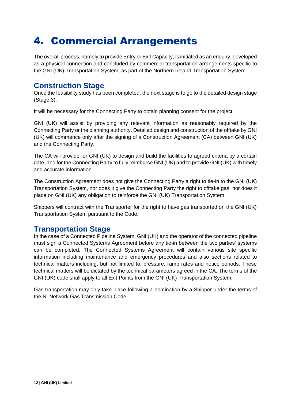### <span id="page-9-0"></span>4. Commercial Arrangements

The overall process, namely to provide Entry or Exit Capacity, is initiated as an enquiry, developed as a physical connection and concluded by commercial transportation arrangements specific to the GNI (UK) Transportation System, as part of the Northern Ireland Transportation System.

#### <span id="page-9-1"></span>**Construction Stage**

Once the feasibility study has been completed, the next stage is to go to the detailed design stage (Stage 3).

It will be necessary for the Connecting Party to obtain planning consent for the project.

GNI (UK) will assist by providing any relevant information as reasonably required by the Connecting Party or the planning authority. Detailed design and construction of the offtake by GNI (UK) will commence only after the signing of a Construction Agreement (CA) between GNI (UK) and the Connecting Party.

The CA will provide for GNI (UK) to design and build the facilities to agreed criteria by a certain date, and for the Connecting Party to fully reimburse GNI (UK) and to provide GNI (UK) with timely and accurate information.

The Construction Agreement does not give the Connecting Party a right to tie-in to the GNI (UK) Transportation System, nor does it give the Connecting Party the right to offtake gas, nor does it place on GNI (UK) any obligation to reinforce the GNI (UK) Transportation System.

Shippers will contract with the Transporter for the right to have gas transported on the GNI (UK) Transportation System pursuant to the Code.

#### <span id="page-9-2"></span>**Transportation Stage**

In the case of a Connected Pipeline System, GNI (UK) and the operator of the connected pipeline must sign a Connected Systems Agreement before any tie-in between the two parties' systems can be completed. The Connected Systems Agreement will contain various site specific information including maintenance and emergency procedures and also sections related to technical matters including, but not limited to, pressure, ramp rates and notice periods. These technical matters will be dictated by the technical parameters agreed in the CA. The terms of the GNI (UK) code shall apply to all Exit Points from the GNI (UK) Transportation System.

Gas transportation may only take place following a nomination by a Shipper under the terms of the NI Network Gas Transmission Code.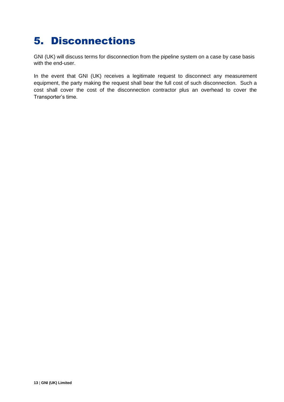### <span id="page-10-0"></span>5. Disconnections

GNI (UK) will discuss terms for disconnection from the pipeline system on a case by case basis with the end-user.

In the event that GNI (UK) receives a legitimate request to disconnect any measurement equipment, the party making the request shall bear the full cost of such disconnection. Such a cost shall cover the cost of the disconnection contractor plus an overhead to cover the Transporter's time.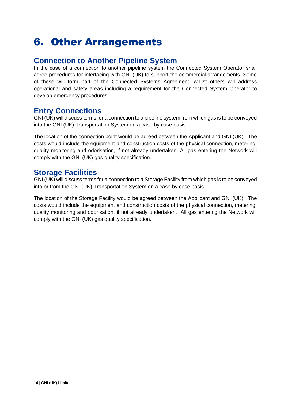### <span id="page-11-0"></span>6. Other Arrangements

#### <span id="page-11-1"></span>**Connection to Another Pipeline System**

In the case of a connection to another pipeline system the Connected System Operator shall agree procedures for interfacing with GNI (UK) to support the commercial arrangements. Some of these will form part of the Connected Systems Agreement, whilst others will address operational and safety areas including a requirement for the Connected System Operator to develop emergency procedures.

#### <span id="page-11-2"></span>**Entry Connections**

GNI (UK) will discuss terms for a connection to a pipeline system from which gas is to be conveyed into the GNI (UK) Transportation System on a case by case basis.

The location of the connection point would be agreed between the Applicant and GNI (UK). The costs would include the equipment and construction costs of the physical connection, metering, quality monitoring and odorisation, if not already undertaken. All gas entering the Network will comply with the GNI (UK) gas quality specification.

#### <span id="page-11-3"></span>**Storage Facilities**

GNI (UK) will discuss terms for a connection to a Storage Facility from which gas is to be conveyed into or from the GNI (UK) Transportation System on a case by case basis.

The location of the Storage Facility would be agreed between the Applicant and GNI (UK). The costs would include the equipment and construction costs of the physical connection, metering, quality monitoring and odorisation, if not already undertaken. All gas entering the Network will comply with the GNI (UK) gas quality specification.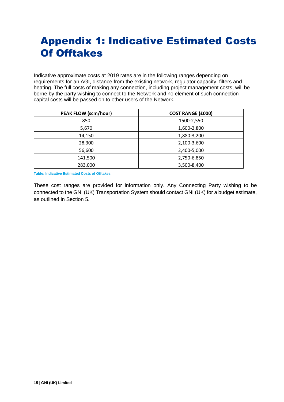### <span id="page-12-0"></span>Appendix 1: Indicative Estimated Costs Of Offtakes

Indicative approximate costs at 2019 rates are in the following ranges depending on requirements for an AGI, distance from the existing network, regulator capacity, filters and heating. The full costs of making any connection, including project management costs, will be borne by the party wishing to connect to the Network and no element of such connection capital costs will be passed on to other users of the Network.

| <b>PEAK FLOW (scm/hour)</b> | <b>COST RANGE (£000)</b> |
|-----------------------------|--------------------------|
| 850                         | 1500-2,550               |
| 5,670                       | 1,600-2,800              |
| 14,150                      | 1,880-3,200              |
| 28,300                      | 2,100-3,600              |
| 56,600                      | 2,400-5,000              |
| 141,500                     | 2,750-6,850              |
| 283,000                     | 3,500-8,400              |

**Table: Indicative Estimated Costs of Offtakes**

These cost ranges are provided for information only. Any Connecting Party wishing to be connected to the GNI (UK) Transportation System should contact GNI (UK) for a budget estimate, as outlined in Section 5.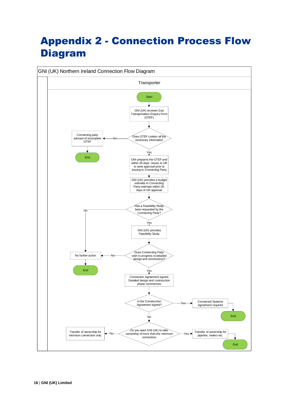### <span id="page-13-0"></span>Appendix 2 - Connection Process Flow Diagram